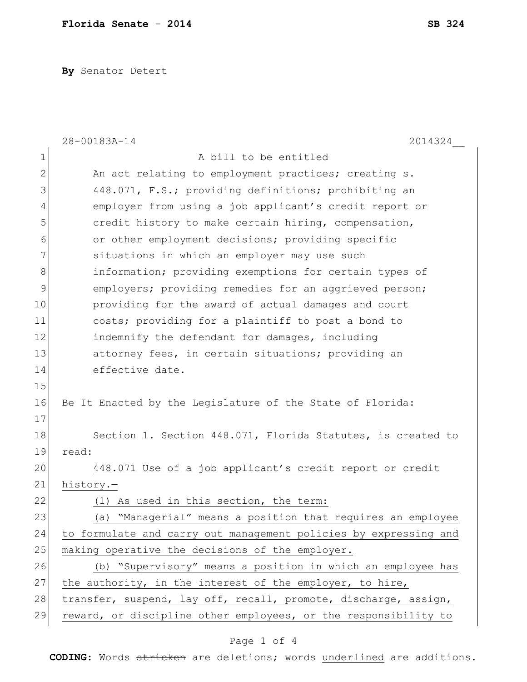**By** Senator Detert

|              | 28-00183A-14<br>2014324                                          |
|--------------|------------------------------------------------------------------|
| $\mathbf 1$  | A bill to be entitled                                            |
| $\mathbf{2}$ | An act relating to employment practices; creating s.             |
| 3            | 448.071, F.S.; providing definitions; prohibiting an             |
| 4            | employer from using a job applicant's credit report or           |
| 5            | credit history to make certain hiring, compensation,             |
| 6            | or other employment decisions; providing specific                |
| 7            | situations in which an employer may use such                     |
| 8            | information; providing exemptions for certain types of           |
| 9            | employers; providing remedies for an aggrieved person;           |
| 10           | providing for the award of actual damages and court              |
| 11           | costs; providing for a plaintiff to post a bond to               |
| 12           | indemnify the defendant for damages, including                   |
| 13           | attorney fees, in certain situations; providing an               |
| 14           | effective date.                                                  |
| 15           |                                                                  |
| 16           | Be It Enacted by the Legislature of the State of Florida:        |
| 17           |                                                                  |
| 18           | Section 1. Section 448.071, Florida Statutes, is created to      |
| 19           | read:                                                            |
| 20           | 448.071 Use of a job applicant's credit report or credit         |
| 21           | history.-                                                        |
| 22           | (1) As used in this section, the term:                           |
| 23           | (a) "Managerial" means a position that requires an employee      |
| 24           | to formulate and carry out management policies by expressing and |
| 25           | making operative the decisions of the employer.                  |
| 26           | (b) "Supervisory" means a position in which an employee has      |
| 27           | the authority, in the interest of the employer, to hire,         |
| 28           | transfer, suspend, lay off, recall, promote, discharge, assign,  |
| 29           | reward, or discipline other employees, or the responsibility to  |

## Page 1 of 4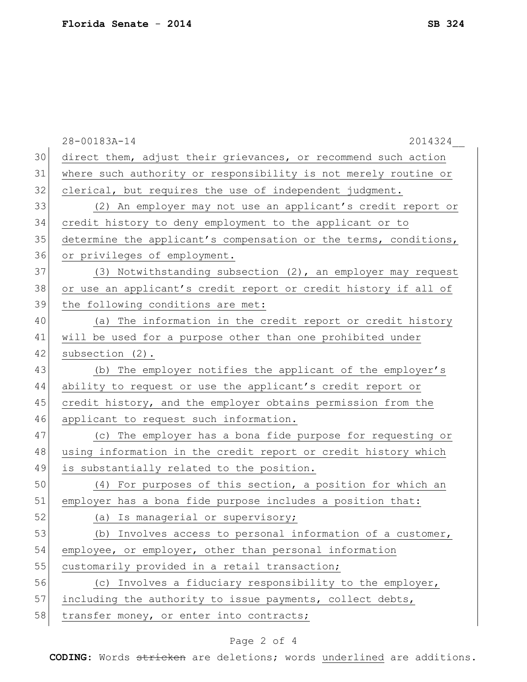|    | 28-00183A-14<br>2014324                                          |
|----|------------------------------------------------------------------|
| 30 | direct them, adjust their grievances, or recommend such action   |
| 31 | where such authority or responsibility is not merely routine or  |
| 32 | clerical, but requires the use of independent judgment.          |
| 33 | (2) An employer may not use an applicant's credit report or      |
| 34 | credit history to deny employment to the applicant or to         |
| 35 | determine the applicant's compensation or the terms, conditions, |
| 36 | or privileges of employment.                                     |
| 37 | (3) Notwithstanding subsection (2), an employer may request      |
| 38 | or use an applicant's credit report or credit history if all of  |
| 39 | the following conditions are met:                                |
| 40 | (a) The information in the credit report or credit history       |
| 41 | will be used for a purpose other than one prohibited under       |
| 42 | subsection (2).                                                  |
| 43 | (b) The employer notifies the applicant of the employer's        |
| 44 | ability to request or use the applicant's credit report or       |
| 45 | credit history, and the employer obtains permission from the     |
| 46 | applicant to request such information.                           |
| 47 | (c) The employer has a bona fide purpose for requesting or       |
| 48 | using information in the credit report or credit history which   |
| 49 | is substantially related to the position.                        |
| 50 | (4) For purposes of this section, a position for which an        |
| 51 | employer has a bona fide purpose includes a position that:       |
| 52 | (a) Is managerial or supervisory;                                |
| 53 | (b) Involves access to personal information of a customer,       |
| 54 | employee, or employer, other than personal information           |
| 55 | customarily provided in a retail transaction;                    |
| 56 | (c) Involves a fiduciary responsibility to the employer,         |
| 57 | including the authority to issue payments, collect debts,        |
| 58 | transfer money, or enter into contracts;                         |
|    |                                                                  |

## Page 2 of 4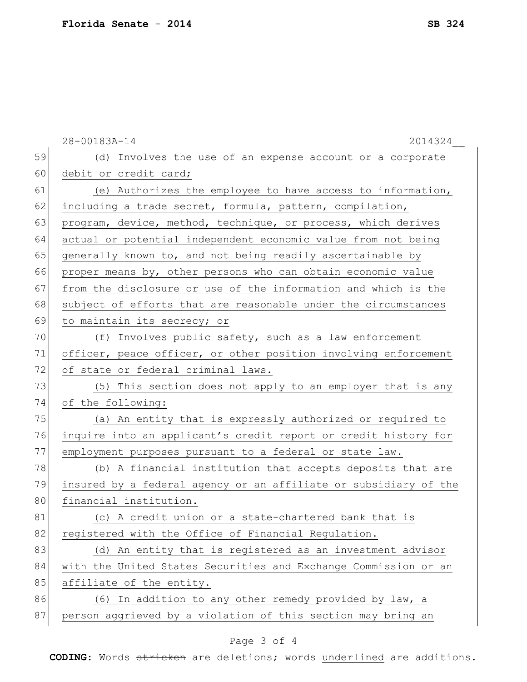|    | 28-00183A-14<br>2014324                                          |
|----|------------------------------------------------------------------|
| 59 | (d) Involves the use of an expense account or a corporate        |
| 60 | debit or credit card;                                            |
| 61 | (e) Authorizes the employee to have access to information,       |
| 62 | including a trade secret, formula, pattern, compilation,         |
| 63 | program, device, method, technique, or process, which derives    |
| 64 | actual or potential independent economic value from not being    |
| 65 | generally known to, and not being readily ascertainable by       |
| 66 | proper means by, other persons who can obtain economic value     |
| 67 | from the disclosure or use of the information and which is the   |
| 68 | subject of efforts that are reasonable under the circumstances   |
| 69 | to maintain its secrecy; or                                      |
| 70 | (f) Involves public safety, such as a law enforcement            |
| 71 | officer, peace officer, or other position involving enforcement  |
| 72 | of state or federal criminal laws.                               |
| 73 | (5) This section does not apply to an employer that is any       |
| 74 | of the following:                                                |
| 75 | (a) An entity that is expressly authorized or required to        |
| 76 | inquire into an applicant's credit report or credit history for  |
| 77 | employment purposes pursuant to a federal or state law.          |
| 78 | (b) A financial institution that accepts deposits that are       |
| 79 | insured by a federal agency or an affiliate or subsidiary of the |
| 80 | financial institution.                                           |
| 81 | (c) A credit union or a state-chartered bank that is             |
| 82 | registered with the Office of Financial Regulation.              |
| 83 | (d) An entity that is registered as an investment advisor        |
| 84 | with the United States Securities and Exchange Commission or an  |
| 85 | affiliate of the entity.                                         |
| 86 | (6) In addition to any other remedy provided by law, a           |
| 87 | person aggrieved by a violation of this section may bring an     |
|    |                                                                  |

## Page 3 of 4